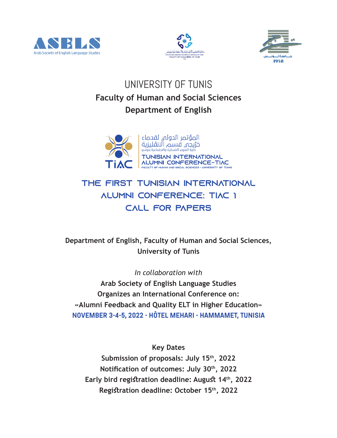





# UNIVERSITY OF TUNIS **Faculty of Human and Social Sciences Department of English**



### The First Tunisian International Alumni Conference: TIAC 1 Call for Papers

**Department of English, Faculty of Human and Social Sciences, University of Tunis** 

*In collaboration with*

**Arab Society of English Language Studies Organizes an International Conference on: «Alumni Feedback and Quality ELT in Higher Education» NOVEMBER 3-4-5, 2022 - HÔTEL MEHARI - HAMMAMET, TUNISIA**

**Key Dates Submission of proposals: July 15th, 2022** Notification of outcomes: July 30<sup>th</sup>, 2022 Early bird registration deadline: August 14<sup>th</sup>, 2022 Registration deadline: October 15<sup>th</sup>, 2022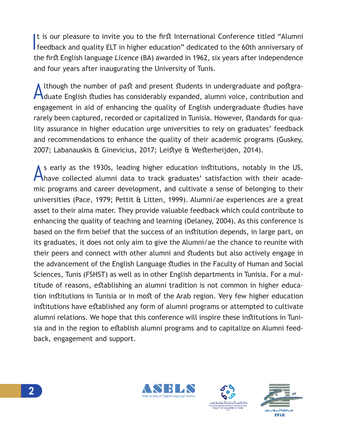It is our pleasure to invite you to the first International Conference titled "Alumni feedback and quality ELT in higher education" dedicated to the 60th anniversary of the first English language Licence (BA) awarded in 1962, six years after independence and four years after inaugurating the University of Tunis.

Ithough the number of past and present students in undergraduate and postgra-Aduate English studies has considerably expanded, alumni voice, contribution and engagement in aid of enhancing the quality of English undergraduate studies have rarely been captured, recorded or capitalized in Tunisia. However, standards for quality assurance in higher education urge universities to rely on graduates' feedback and recommendations to enhance the quality of their academic programs (Guskey, 2007; Labanauskis & Ginevicius, 2017; Leistye & Westerheijden, 2014).

s early as the 1930s, leading higher education institutions, notably in the US, Ahave collected alumni data to track graduates' satisfaction with their academic programs and career development, and cultivate a sense of belonging to their universities (Pace, 1979; Pettit & Litten, 1999). Alumni/ae experiences are a great asset to their alma mater. They provide valuable feedback which could contribute to enhancing the quality of teaching and learning (Delaney, 2004). As this conference is based on the firm belief that the success of an institution depends, in large part, on its graduates, it does not only aim to give the Alumni/ae the chance to reunite with their peers and connect with other alumni and students but also actively engage in the advancement of the English Language studies in the Faculty of Human and Social Sciences, Tunis (FSHST) as well as in other English departments in Tunisia. For a multitude of reasons, establishing an alumni tradition is not common in higher education institutions in Tunisia or in most of the Arab region. Very few higher education institutions have established any form of alumni programs or attempted to cultivate alumni relations. We hope that this conference will inspire these institutions in Tunisia and in the region to establish alumni programs and to capitalize on Alumni feedback, engagement and support.





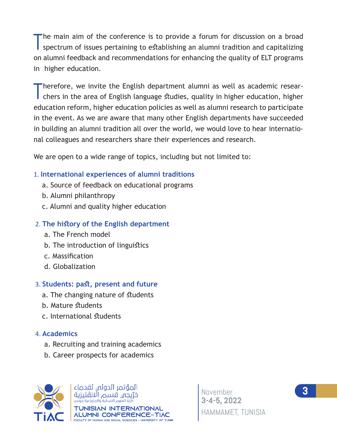The main aim of the conference is to provide a forum for discussion on a broad spectrum of issues pertaining to establishing an alumni tradition and capitalizing on alumni feedback and recommendations for enhancing the quality of ELT programs in higher education.

Therefore, we invite the English department alumni as well as academic researchers in the area of English language studies, quality in higher education, higher education reform, higher education policies as well as alumni research to participate in the event. As we are aware that many other English departments have succeeded in building an alumni tradition all over the world, we would love to hear international colleagues and researchers share their experiences and research.

We are open to a wide range of topics, including but not limited to:

#### 1. International experiences of alumni traditions

- a. Source of feedback on educational programs
- b. Alumni philanthropy
- c. Alumni and quality higher education

### 2. The history of the English department

- a. The French model
- b. The introduction of linguistics
- c. Massification
- d. Globalization

### 3. Students: past, present and future

- a. The changing nature of students
- b. Mature students
- c. International students

#### 4. Academics

- a. Recruiting and training academics
- b. Career prospects for academics



المؤتمر الدولى لقدماء خرّيجه قسم الانڤليزية ر .....<br>كلية العلوم الانسانية والاجتماعية بتونس IISIAN INTERNATIONAL *ALUMNI CONFERENCE-TIAC* -<br>FACULTY OF HUMAN AND SOCIAL SCIENCES - UNIVERSITY OF TUNIS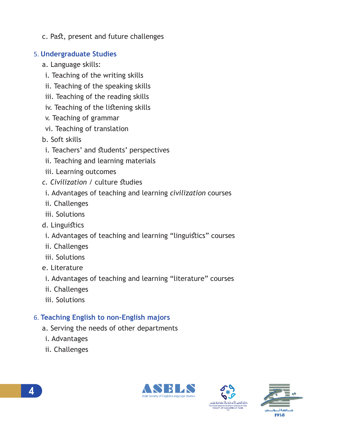c. Past, present and future challenges

### 5. **Undergraduate Studies**

- a. Language skills:
- i. Teaching of the writing skills
- ii. Teaching of the speaking skills
- iii. Teaching of the reading skills
- iv. Teaching of the listening skills
- v. Teaching of grammar
- vi. Teaching of translation
- b. Soft skills
- i. Teachers' and students' perspectives
- ii. Teaching and learning materials
- iii. Learning outcomes
- *c. Civilization* / culture *studies*
- i. Advantages of teaching and learning civilization courses
- ii. Challenges
- iii. Solutions
- d. Linguistics
- i. Advantages of teaching and learning "linguistics" courses
- ii. Challenges
- iii. Solutions
- e. Literature
- i. Advantages of teaching and learning "literature" courses
- ii. Challenges
- iii. Solutions

### 6. **Teaching English to non-English majors**

- a. Serving the needs of other departments
- i. Advantages
- ii. Challenges





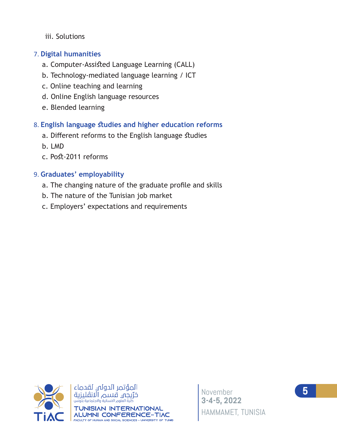iii. Solutions

#### 7. Digital humanities

- a. Computer-Assisted Language Learning (CALL)
- b. Technology-mediated language learning / ICT
- c. Online teaching and learning
- d. Online English language resources
- e. Blended learning

### 8. English language studies and higher education reforms

- a. Different reforms to the English language studies
- b. LMD
- c. Post-2011 reforms

### 9. Graduates' employability

- a. The changing nature of the graduate profile and skills
- b. The nature of the Tunisian job market
- c. Employers' expectations and requirements



المؤتمر الدولى لقدماء خرّيجه قسم الانڤليزية **JISIAN INTERNATIONAL ALUMNI CONFERENCE-TIAC** FACULTY OF HUMAN AND SOCIAL SCIENCES - UNIVERSITY OF TUNIS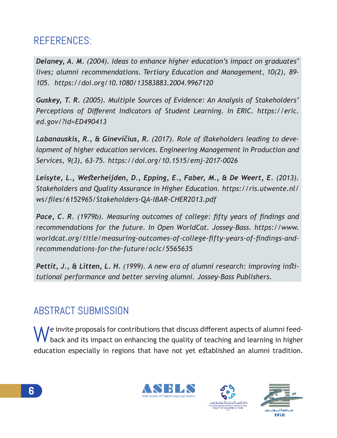# REFERENCES:

*Delaney, A. M. (2004). Ideas to enhance higher education's impact on graduates' lives; alumni recommendations. Tertiary Education and Management, 10(2), 89– 105. https://doi.org/10.1080/13583883.2004.9967120* 

*Guskey, T. R. (2005). Multiple Sources of Evidence: An Analysis of Stakeholders'*  Perceptions of Different Indicators of Student Learning. In ERIC. https://eric. *ed.gov/?id=ED490413* 

Labanauskis, R., & Ginevičius, R. (2017). Role of stakeholders leading to deve*lopment of higher education services. Engineering Management in Production and Services, 9(3), 63–75. https://doi.org/10.1515/emj-2017-0026* 

Leisyte, L., Westerheijden, D., Epping, E., Faber, M., & De Weert, E. (2013). *Stakeholders and Quality Assurance in Higher Education. https://ris.utwente.nl/ ws/files/6152965/Stakeholders-QA-IBAR-CHER2013.pdf* 

**Pace, C. R.** (1979b). Measuring outcomes of college: fifty years of findings and recommendations for the future. In Open WorldCat. Jossey-Bass. https://www. worldcat.org/title/measuring-outcomes-of-college-fifty-years-of-findings-and*recommendations-for-the-future/oclc/5565635* 

Pettit, J., & Litten, L. H. (1999). A new era of alumni research: improving institutional performance and better serving alumni. Jossey-Bass Publishers.

## ABSTRACT SUBMISSION

We invite proposals for contributions that discuss different aspects of alumni feed-<br>back and its impact on enhancing the quality of teaching and learning in higher education especially in regions that have not yet established an alumni tradition.





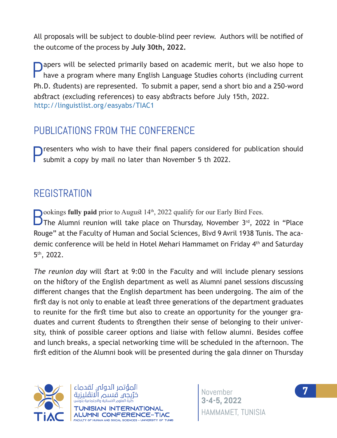All proposals will be subject to double-blind peer review. Authors will be notified of the outcome of the process by July 30th, 2022.

Papers will be selected primarily based on academic merit, but we also hope to have a program where many English Language Studies cohorts (including current Ph.D. students) are represented. To submit a paper, send a short bio and a 250-word abstract (excluding references) to easy abstracts before July 15th, 2022. http://linguistlist.org/easyabs/TIAC1

### PUBLICATIONS FROM THE CONFERENCE

resenters who wish to have their final papers considered for publication should submit a copy by mail no later than November 5 th 2022.

### REGISTRATION

**Dookings fully paid** prior to August 14<sup>th</sup>, 2022 qualify for our Early Bird Fees.

The Alumni reunion will take place on Thursday, November  $3<sup>rd</sup>$ , 2022 in "Place Rouge" at the Faculty of Human and Social Sciences, Blyd 9 Avril 1938 Tunis. The academic conference will be held in Hotel Mehari Hammamet on Friday 4<sup>th</sup> and Saturday  $5<sup>th</sup>$ , 2022.

*The reunion day* will start at 9:00 in the Faculty and will include plenary sessions on the history of the English department as well as Alumni panel sessions discussing different changes that the English department has been undergoing. The aim of the first day is not only to enable at least three generations of the department graduates to reunite for the first time but also to create an opportunity for the younger graduates and current students to strengthen their sense of belonging to their university, think of possible career options and liaise with fellow alumni. Besides coffee and lunch breaks, a special networking time will be scheduled in the afternoon. The first edition of the Alumni book will be presented during the gala dinner on Thursday





November **7 3-4-5**, HAMMAMET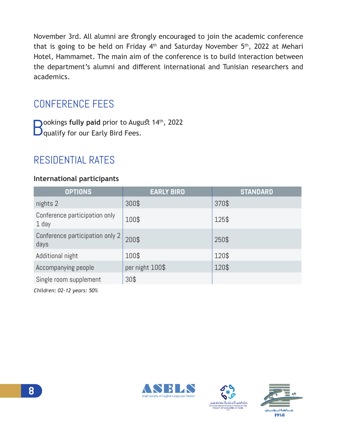November 3rd. All alumni are strongly encouraged to join the academic conference that is going to be held on Friday  $4<sup>th</sup>$  and Saturday November  $5<sup>th</sup>$ , 2022 at Mehari Hotel, Hammamet. The main aim of the conference is to build interaction between the department's alumni and different international and Tunisian researchers and academics.

## CONFERENCE FEES

**D**ookings fully paid prior to August 14<sup>th</sup>, 2022  $\mathbf D$  qualify for our Early Bird Fees.

## RESIDENTIAL RATES

#### **International participants**

| <b>OPTIONS</b>                          | <b>EARLY BIRD</b> | <b>STANDARD</b> |
|-----------------------------------------|-------------------|-----------------|
| nights 2                                | 300\$             | 370\$           |
| Conference participation only<br>1 day  | 100\$             | 125\$           |
| Conference participation only 2<br>days | 200\$             | 250\$           |
| Additional night                        | 100\$             | 120\$           |
| Accompanying people                     | per night 100\$   | 120\$           |
| Single room supplement                  | 30\$              |                 |

*Children: 02-12 years: 50%*







**8**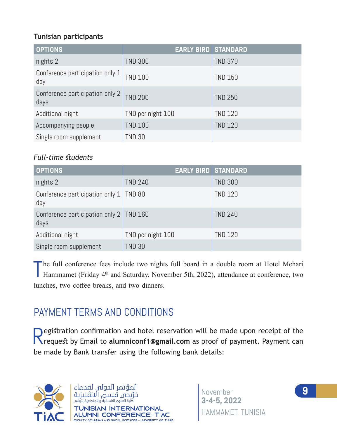#### **Tunisian participants**

| <b>OPTIONS</b>                          | <b>EARLY BIRD STANDARD</b> |                |
|-----------------------------------------|----------------------------|----------------|
| nights 2                                | <b>TND 300</b>             | <b>TND 370</b> |
| Conference participation only 1<br>day  | <b>TND 100</b>             | <b>TND 150</b> |
| Conference participation only 2<br>days | <b>TND 200</b>             | <b>TND 250</b> |
| Additional night                        | TND per night 100          | <b>TND 120</b> |
| Accompanying people                     | <b>TND 100</b>             | <b>TND 120</b> |
| Single room supplement                  | <b>TND 30</b>              |                |

#### *Full-time students*

| <b>OPTIONS</b>                                    | <b>EARLY BIRD STANDARD</b> |                |
|---------------------------------------------------|----------------------------|----------------|
| nights 2                                          | <b>TND 240</b>             | <b>TND 300</b> |
| Conference participation only $1   TND 80$<br>day |                            | <b>TND 120</b> |
| Conference participation only 2   TND 160<br>days |                            | <b>TND 240</b> |
| Additional night                                  | TND per night 100          | <b>TND 120</b> |
| Single room supplement                            | <b>TND 30</b>              |                |

The full conference fees include two nights full board in a double room at Hotel Mehari<br>Hammamet (Friday 4<sup>th</sup> and Saturday, November 5th, 2022), attendance at conference, two Hammamet (Friday 4<sup>th</sup> and Saturday, November 5th, 2022), attendance at conference, two lunches, two coffee breaks, and two dinners.

# PAYMENT TERMS AND CONDITIONS

Registration confirmation and hotel reservation will be made upon receipt of the<br>Rivequest by Email to alumniconf1@gmail.com as proof of payment. Payment can be made by Bank transfer using the following bank details:



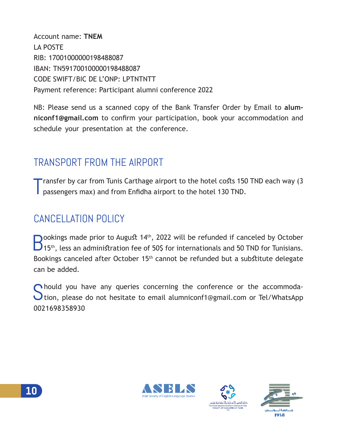Account name: TNFM **LA POSTE** RIB: 17001000000198488087 IBAN: TN591700100000198488087 CODE SWIFT/BIC DE L'ONP: I PTNTNTT Payment reference: Participant alumni conference 2022

NB: Please send us a scanned copy of the Bank Transfer Order by Email to alumniconf1@gmail.com to confirm your participation, book your accommodation and schedule your presentation at the conference.

# **TRANSPORT FROM THE AIRPORT**

Transfer by car from Tunis Carthage airport to the hotel costs 150 TND each way (3 passengers max) and from Enfidha airport to the hotel 130 TND.

# CANCELLATION POLICY

 $\bigcap$  ookings made prior to August 14<sup>th</sup>, 2022 will be refunded if canceled by October  $\Box$ 15<sup>th</sup>, less an administration fee of 50\$ for internationals and 50 TND for Tunisians. Bookings canceled after October 15<sup>th</sup> cannot be refunded but a substitute delegate can be added.

hould you have any queries concerning the conference or the accommoda-**I** tion, please do not hesitate to email alumniconf1@gmail.com or Tel/WhatsApp 0021698358930







10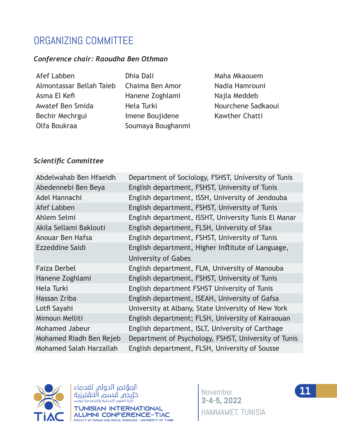## ORGANIZING COMMITTEE

#### Conference chair: Raoudha Ben Othman

Afef Labben **Industrial Deli** Dhia Dali **Naha Mkaouem** Almontassar Bellah Tajeb Chaima Ben Amor Nadia Hamrouni Asma El Kefi Hanene Zoghlami Najla Meddeb Awatef Ben Smida + Hela Turki + Hourchene Sadkaoui %HFKLU0HFKUJXL ,PHQH%RXMLGHQH .DZWKHU&KDWWL Olfa Boukraa **2008** Soumaya Boughanmi

#### **Scientific Committee**

| Abdelwahab Ben Hfaeidh  | Department of Sociology, FSHST, University of Tunis  |
|-------------------------|------------------------------------------------------|
| Abedennebi Ben Beya     | English department, FSHST, University of Tunis       |
| Adel Hannachi           | English department, ISSH, University of Jendouba     |
| Afef Labben             | English department, FSHST, University of Tunis       |
| Ahlem Selmi             | English department, ISSHT, University Tunis El Manar |
| Akila Sellami Baklouti  | English department, FLSH, University of Sfax         |
| Anouar Ben Hafsa        | English department, FSHST, University of Tunis       |
| Ezzeddine Saidi         | English department, Higher Institute of Language,    |
|                         | University of Gabes                                  |
| <b>Faiza Derbel</b>     | English department, FLM, University of Manouba       |
| Hanene Zoghlami         | English department, FSHST, University of Tunis       |
| Hela Turki              | English department FSHST University of Tunis         |
| Hassan Zriba            | English department, ISEAH, University of Gafsa       |
| Lotfi Sayahi            | University at Albany, State University of New York   |
| Mimoun Melliti          | English department; FLSH, University of Kairaouan    |
| Mohamed Jabeur          | English department, ISLT, University of Carthage     |
| Mohamed Riadh Ben Rejeb | Department of Psychology, FSHST, University of Tunis |
| Mohamed Salah Harzallah | English department, FLSH, University of Sousse       |



المؤتمر الدولى لقدماء TUNISIAN INTERNATIONAL *ALUMNI CONFERENCE-TIAC* FACULTY OF HUMAN AND SOCIAL SCIENCES - UNIVERSITY OF TUNIS

November **11 3-4-5, 2022**  HAMMAMET, TUNISIA